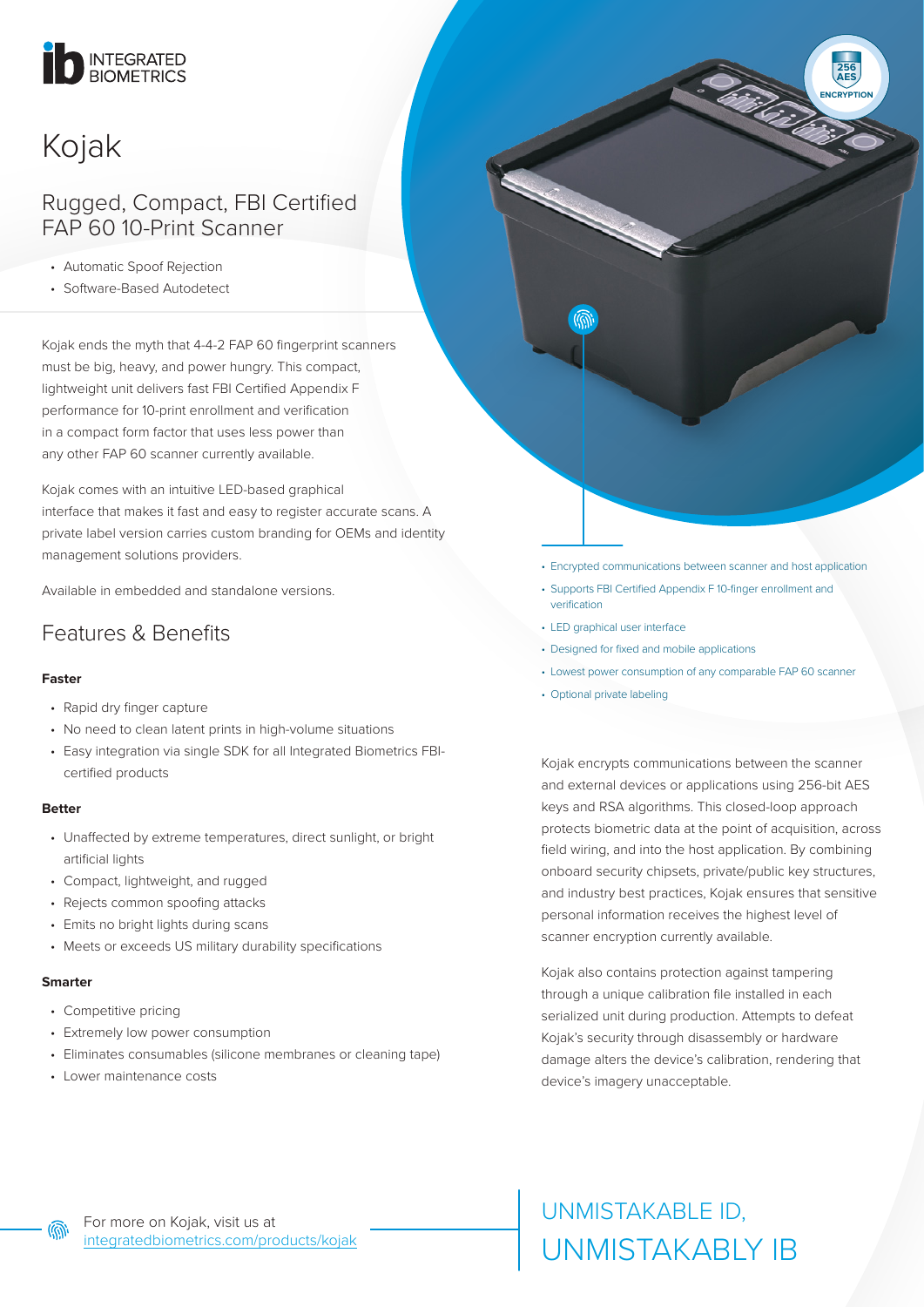

# Kojak

### Rugged, Compact, FBI Certified FAP 60 10-Print Scanner

- Automatic Spoof Rejection
- Software-Based Autodetect

Kojak ends the myth that 4-4-2 FAP 60 fingerprint scanners must be big, heavy, and power hungry. This compact, lightweight unit delivers fast FBI Certified Appendix F performance for 10-print enrollment and verification in a compact form factor that uses less power than any other FAP 60 scanner currently available.

Kojak comes with an intuitive LED-based graphical interface that makes it fast and easy to register accurate scans. A private label version carries custom branding for OEMs and identity management solutions providers.

Available in embedded and standalone versions.

# Features & Benefits

#### **Faster**

- Rapid dry finger capture
- No need to clean latent prints in high-volume situations
- Easy integration via single SDK for all Integrated Biometrics FBIcertified products

#### **Better**

- Unaffected by extreme temperatures, direct sunlight, or bright artificial lights
- Compact, lightweight, and rugged
- Rejects common spoofing attacks
- Emits no bright lights during scans
- Meets or exceeds US military durability specifications

#### **Smarter**

൫

- Competitive pricing
- Extremely low power consumption
- Eliminates consumables (silicone membranes or cleaning tape)
- Lower maintenance costs

• Encrypted communications between scanner and host application

**256 AES ENCRYPTION**

- Supports FBI Certified Appendix F 10-finger enrollment and verification
- LED graphical user interface
- Designed for fixed and mobile applications
- Lowest power consumption of any comparable FAP 60 scanner
- Optional private labeling

Kojak encrypts communications between the scanner and external devices or applications using 256-bit AES keys and RSA algorithms. This closed-loop approach protects biometric data at the point of acquisition, across field wiring, and into the host application. By combining onboard security chipsets, private/public key structures, and industry best practices, Kojak ensures that sensitive personal information receives the highest level of scanner encryption currently available.

Kojak also contains protection against tampering through a unique calibration file installed in each serialized unit during production. Attempts to defeat Kojak's security through disassembly or hardware damage alters the device's calibration, rendering that device's imagery unacceptable.

# UNMISTAKABLE ID, UNMISTAKABLY IB